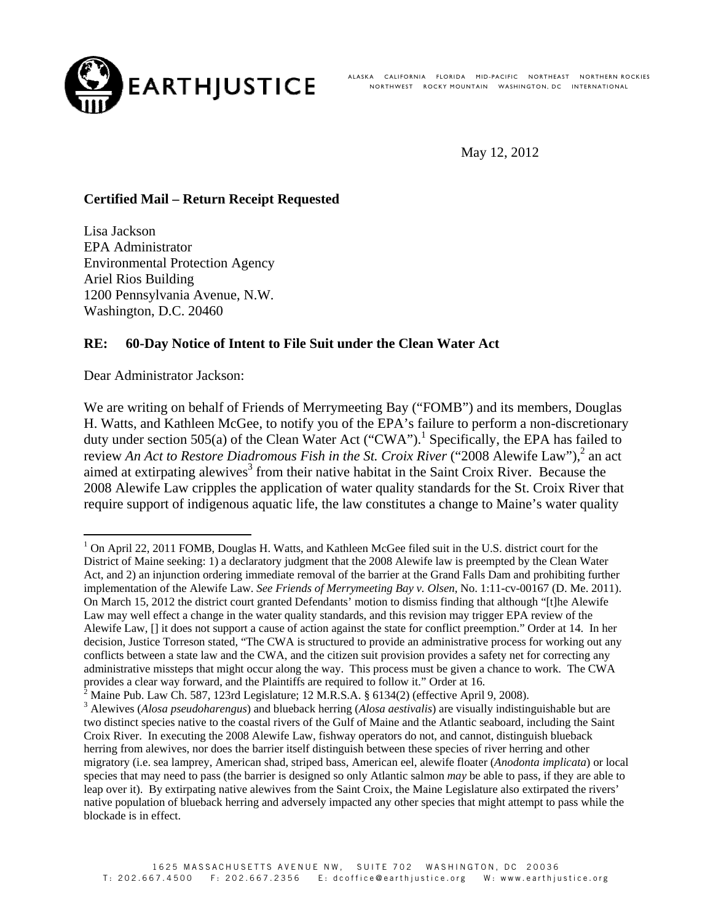

ALASKA CALIFORNIA FLORIDA MID-PACIFIC NORTHEAST NORTHERN-ROCKIES NORTHWEST ROCKY MOUNTAIN WASHINGTON, DC INTERNATIONAL

May 12, 2012

# **Certified Mail – Return Receipt Requested**

Lisa Jackson EPA Administrator Environmental Protection Agency Ariel Rios Building 1200 Pennsylvania Avenue, N.W. Washington, D.C. 20460

### **RE: 60-Day Notice of Intent to File Suit under the Clean Water Act**

Dear Administrator Jackson:

We are writing on behalf of Friends of Merrymeeting Bay ("FOMB") and its members, Douglas H. Watts, and Kathleen McGee, to notify you of the EPA's failure to perform a non-discretionary duty under section 505(a) of the Clean Water Act ("CWA").<sup>1</sup> Specifically, the EPA has failed to review *An Act to Restore Diadromous Fish in the St. Croix River* ("2008 Alewife Law"),<sup>2</sup> an act aimed at extirpating alewives $3$  from their native habitat in the Saint Croix River. Because the 2008 Alewife Law cripples the application of water quality standards for the St. Croix River that require support of indigenous aquatic life, the law constitutes a change to Maine's water quality

<sup>&</sup>lt;sup>1</sup> On April 22, 2011 FOMB, Douglas H. Watts, and Kathleen McGee filed suit in the U.S. district court for the District of Maine seeking: 1) a declaratory judgment that the 2008 Alewife law is preempted by the Clean Water Act, and 2) an injunction ordering immediate removal of the barrier at the Grand Falls Dam and prohibiting further implementation of the Alewife Law. *See Friends of Merrymeeting Bay v. Olsen*, No. 1:11-cv-00167 (D. Me. 2011). On March 15, 2012 the district court granted Defendants' motion to dismiss finding that although "[t]he Alewife Law may well effect a change in the water quality standards, and this revision may trigger EPA review of the Alewife Law, [] it does not support a cause of action against the state for conflict preemption." Order at 14. In her decision, Justice Torreson stated, "The CWA is structured to provide an administrative process for working out any conflicts between a state law and the CWA, and the citizen suit provision provides a safety net for correcting any administrative missteps that might occur along the way. This process must be given a chance to work. The CWA provides a clear way forward, and the Plaintiffs are required to follow it." Order at 16.

Maine Pub. Law Ch. 587, 123rd Legislature; 12 M.R.S.A. § 6134(2) (effective April 9, 2008).

<sup>3</sup> Alewives (*Alosa pseudoharengus*) and blueback herring (*Alosa aestivalis*) are visually indistinguishable but are two distinct species native to the coastal rivers of the Gulf of Maine and the Atlantic seaboard, including the Saint Croix River. In executing the 2008 Alewife Law, fishway operators do not, and cannot, distinguish blueback herring from alewives, nor does the barrier itself distinguish between these species of river herring and other migratory (i.e. sea lamprey, American shad, striped bass, American eel, alewife floater (*Anodonta implicata*) or local species that may need to pass (the barrier is designed so only Atlantic salmon *may* be able to pass, if they are able to leap over it). By extirpating native alewives from the Saint Croix, the Maine Legislature also extirpated the rivers' native population of blueback herring and adversely impacted any other species that might attempt to pass while the blockade is in effect.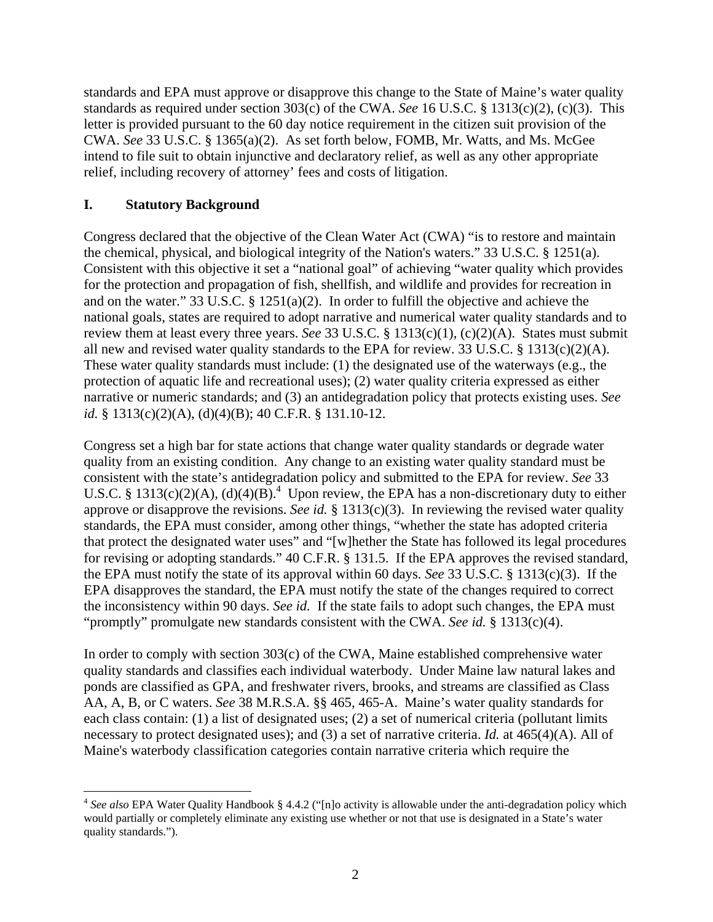standards and EPA must approve or disapprove this change to the State of Maine's water quality standards as required under section 303(c) of the CWA. *See* 16 U.S.C. § 1313(c)(2), (c)(3). This letter is provided pursuant to the 60 day notice requirement in the citizen suit provision of the CWA. *See* 33 U.S.C. § 1365(a)(2). As set forth below, FOMB, Mr. Watts, and Ms. McGee intend to file suit to obtain injunctive and declaratory relief, as well as any other appropriate relief, including recovery of attorney' fees and costs of litigation.

# **I. Statutory Background**

Congress declared that the objective of the Clean Water Act (CWA) "is to restore and maintain the chemical, physical, and biological integrity of the Nation's waters." 33 U.S.C. § 1251(a). Consistent with this objective it set a "national goal" of achieving "water quality which provides for the protection and propagation of fish, shellfish, and wildlife and provides for recreation in and on the water." 33 U.S.C. § 1251(a)(2). In order to fulfill the objective and achieve the national goals, states are required to adopt narrative and numerical water quality standards and to review them at least every three years. *See* 33 U.S.C. § 1313(c)(1), (c)(2)(A). States must submit all new and revised water quality standards to the EPA for review. 33 U.S.C. § 1313(c)(2)(A). These water quality standards must include: (1) the designated use of the waterways (e.g., the protection of aquatic life and recreational uses); (2) water quality criteria expressed as either narrative or numeric standards; and (3) an antidegradation policy that protects existing uses. *See id.* § 1313(c)(2)(A), (d)(4)(B); 40 C.F.R. § 131.10-12.

Congress set a high bar for state actions that change water quality standards or degrade water quality from an existing condition. Any change to an existing water quality standard must be consistent with the state's antidegradation policy and submitted to the EPA for review. *See* 33 U.S.C. § 1313(c)(2)(A), (d)(4)(B).<sup>4</sup> Upon review, the EPA has a non-discretionary duty to either approve or disapprove the revisions. *See id.* § 1313(c)(3). In reviewing the revised water quality standards, the EPA must consider, among other things, "whether the state has adopted criteria that protect the designated water uses" and "[w]hether the State has followed its legal procedures for revising or adopting standards." 40 C.F.R. § 131.5. If the EPA approves the revised standard, the EPA must notify the state of its approval within 60 days. *See* 33 U.S.C. § 1313(c)(3). If the EPA disapproves the standard, the EPA must notify the state of the changes required to correct the inconsistency within 90 days. *See id.* If the state fails to adopt such changes, the EPA must "promptly" promulgate new standards consistent with the CWA. *See id.* § 1313(c)(4).

In order to comply with section 303(c) of the CWA, Maine established comprehensive water quality standards and classifies each individual waterbody. Under Maine law natural lakes and ponds are classified as GPA, and freshwater rivers, brooks, and streams are classified as Class AA, A, B, or C waters. *See* 38 M.R.S.A. §§ 465, 465-A. Maine's water quality standards for each class contain: (1) a list of designated uses; (2) a set of numerical criteria (pollutant limits necessary to protect designated uses); and (3) a set of narrative criteria. *Id.* at 465(4)(A). All of Maine's waterbody classification categories contain narrative criteria which require the

<sup>&</sup>lt;u> 1989 - Johann Stein, marwolaethau a bh</u> <sup>4</sup> *See also* EPA Water Quality Handbook § 4.4.2 ("[n]o activity is allowable under the anti-degradation policy which would partially or completely eliminate any existing use whether or not that use is designated in a State's water quality standards.").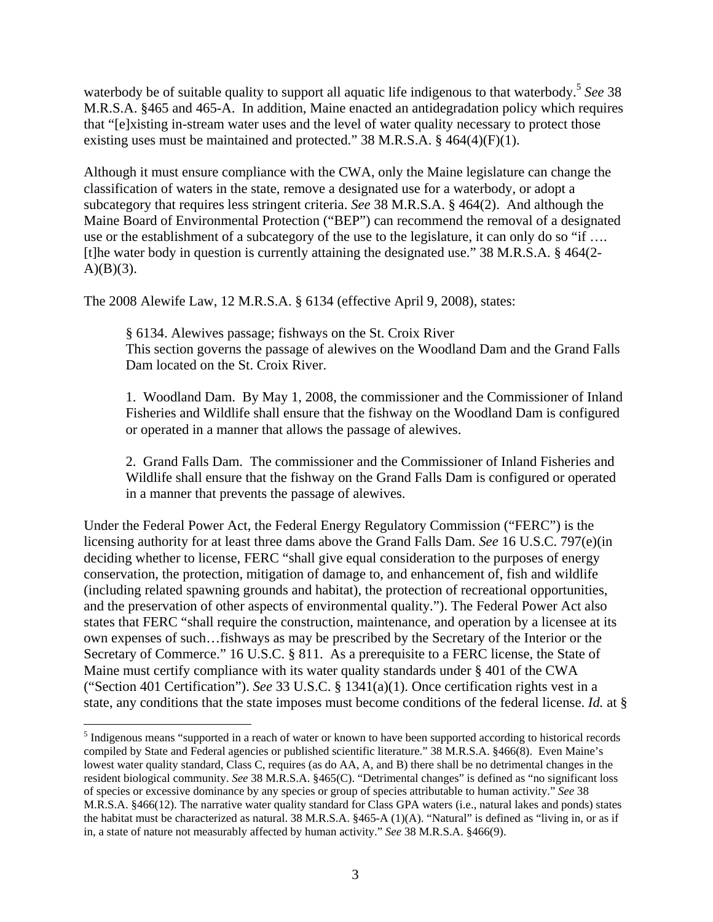waterbody be of suitable quality to support all aquatic life indigenous to that waterbody.<sup>5</sup> *See* 38 M.R.S.A. §465 and 465-A. In addition, Maine enacted an antidegradation policy which requires that "[e]xisting in-stream water uses and the level of water quality necessary to protect those existing uses must be maintained and protected." 38 M.R.S.A. § 464(4)(F)(1).

Although it must ensure compliance with the CWA, only the Maine legislature can change the classification of waters in the state, remove a designated use for a waterbody, or adopt a subcategory that requires less stringent criteria. *See* 38 M.R.S.A. § 464(2). And although the Maine Board of Environmental Protection ("BEP") can recommend the removal of a designated use or the establishment of a subcategory of the use to the legislature, it can only do so "if ... [t]he water body in question is currently attaining the designated use." 38 M.R.S.A. § 464(2-  $A)(B)(3)$ .

The 2008 Alewife Law, 12 M.R.S.A. § 6134 (effective April 9, 2008), states:

§ 6134. Alewives passage; fishways on the St. Croix River This section governs the passage of alewives on the Woodland Dam and the Grand Falls Dam located on the St. Croix River.

1. Woodland Dam. By May 1, 2008, the commissioner and the Commissioner of Inland Fisheries and Wildlife shall ensure that the fishway on the Woodland Dam is configured or operated in a manner that allows the passage of alewives.

2. Grand Falls Dam. The commissioner and the Commissioner of Inland Fisheries and Wildlife shall ensure that the fishway on the Grand Falls Dam is configured or operated in a manner that prevents the passage of alewives.

Under the Federal Power Act, the Federal Energy Regulatory Commission ("FERC") is the licensing authority for at least three dams above the Grand Falls Dam. *See* 16 U.S.C. 797(e)(in deciding whether to license, FERC "shall give equal consideration to the purposes of energy conservation, the protection, mitigation of damage to, and enhancement of, fish and wildlife (including related spawning grounds and habitat), the protection of recreational opportunities, and the preservation of other aspects of environmental quality."). The Federal Power Act also states that FERC "shall require the construction, maintenance, and operation by a licensee at its own expenses of such…fishways as may be prescribed by the Secretary of the Interior or the Secretary of Commerce." 16 U.S.C. § 811. As a prerequisite to a FERC license, the State of Maine must certify compliance with its water quality standards under § 401 of the CWA ("Section 401 Certification"). *See* 33 U.S.C. § 1341(a)(1). Once certification rights vest in a state, any conditions that the state imposes must become conditions of the federal license. *Id.* at §

<u> 1989 - Johann Stein, marwolaethau a bhann an t-Albann an t-Albann an t-Albann an t-Albann an t-Albann an t-Alb</u>

<sup>&</sup>lt;sup>5</sup> Indigenous means "supported in a reach of water or known to have been supported according to historical records compiled by State and Federal agencies or published scientific literature." 38 M.R.S.A. §466(8). Even Maine's lowest water quality standard, Class C, requires (as do AA, A, and B) there shall be no detrimental changes in the resident biological community. *See* 38 M.R.S.A. §465(C). "Detrimental changes" is defined as "no significant loss of species or excessive dominance by any species or group of species attributable to human activity." *See* 38 M.R.S.A. §466(12). The narrative water quality standard for Class GPA waters (i.e., natural lakes and ponds) states the habitat must be characterized as natural. 38 M.R.S.A. §465-A (1)(A). "Natural" is defined as "living in, or as if in, a state of nature not measurably affected by human activity." *See* 38 M.R.S.A. §466(9).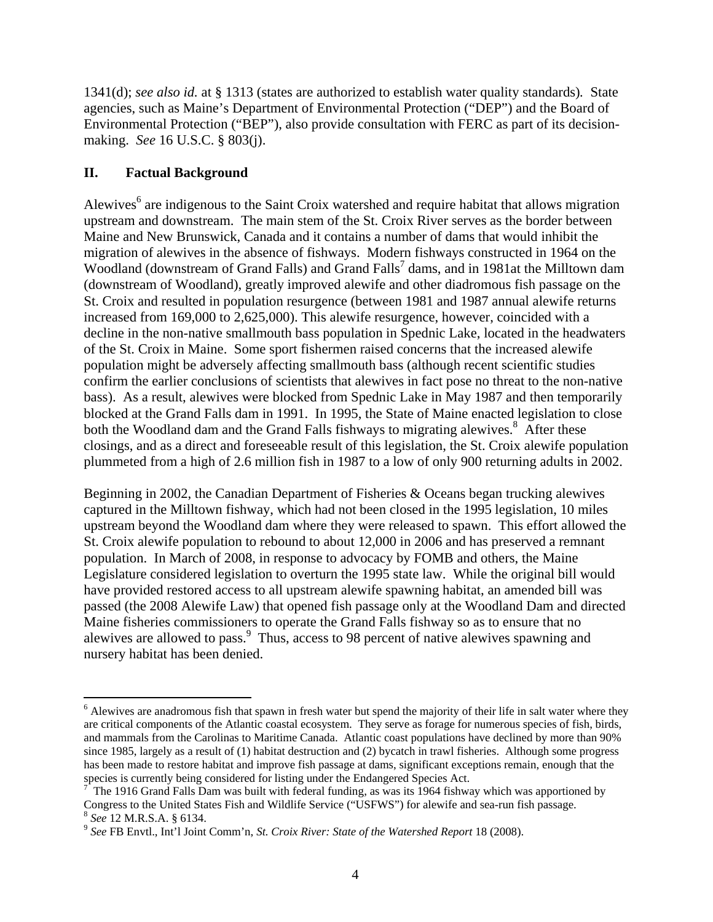1341(d); *see also id.* at § 1313 (states are authorized to establish water quality standards)*.* State agencies, such as Maine's Department of Environmental Protection ("DEP") and the Board of Environmental Protection ("BEP"), also provide consultation with FERC as part of its decisionmaking. *See* 16 U.S.C. § 803(j).

# **II. Factual Background**

Alewives<sup>6</sup> are indigenous to the Saint Croix watershed and require habitat that allows migration upstream and downstream. The main stem of the St. Croix River serves as the border between Maine and New Brunswick, Canada and it contains a number of dams that would inhibit the migration of alewives in the absence of fishways. Modern fishways constructed in 1964 on the Woodland (downstream of Grand Falls) and Grand Falls<sup>7</sup> dams, and in 1981at the Milltown dam (downstream of Woodland), greatly improved alewife and other diadromous fish passage on the St. Croix and resulted in population resurgence (between 1981 and 1987 annual alewife returns increased from 169,000 to 2,625,000). This alewife resurgence, however, coincided with a decline in the non-native smallmouth bass population in Spednic Lake, located in the headwaters of the St. Croix in Maine. Some sport fishermen raised concerns that the increased alewife population might be adversely affecting smallmouth bass (although recent scientific studies confirm the earlier conclusions of scientists that alewives in fact pose no threat to the non-native bass). As a result, alewives were blocked from Spednic Lake in May 1987 and then temporarily blocked at the Grand Falls dam in 1991. In 1995, the State of Maine enacted legislation to close both the Woodland dam and the Grand Falls fishways to migrating alewives.<sup>8</sup> After these closings, and as a direct and foreseeable result of this legislation, the St. Croix alewife population plummeted from a high of 2.6 million fish in 1987 to a low of only 900 returning adults in 2002.

Beginning in 2002, the Canadian Department of Fisheries & Oceans began trucking alewives captured in the Milltown fishway, which had not been closed in the 1995 legislation, 10 miles upstream beyond the Woodland dam where they were released to spawn. This effort allowed the St. Croix alewife population to rebound to about 12,000 in 2006 and has preserved a remnant population. In March of 2008, in response to advocacy by FOMB and others, the Maine Legislature considered legislation to overturn the 1995 state law. While the original bill would have provided restored access to all upstream alewife spawning habitat, an amended bill was passed (the 2008 Alewife Law) that opened fish passage only at the Woodland Dam and directed Maine fisheries commissioners to operate the Grand Falls fishway so as to ensure that no alewives are allowed to pass.<sup>9</sup> Thus, access to 98 percent of native alewives spawning and nursery habitat has been denied.

<sup>&</sup>lt;u> 1989 - Johann Stein, marwolaethau a bh</u>  $<sup>6</sup>$  Alewives are anadromous fish that spawn in fresh water but spend the majority of their life in salt water where they</sup> are critical components of the Atlantic coastal ecosystem. They serve as forage for numerous species of fish, birds, and mammals from the Carolinas to Maritime Canada. Atlantic coast populations have declined by more than 90% since 1985, largely as a result of (1) habitat destruction and (2) bycatch in trawl fisheries. Although some progress has been made to restore habitat and improve fish passage at dams, significant exceptions remain, enough that the species is currently being considered for listing under the Endangered Species Act. 7

 $\frac{7}{1}$  The 1916 Grand Falls Dam was built with federal funding, as was its 1964 fishway which was apportioned by Congress to the United States Fish and Wildlife Service ("USFWS") for alewife and sea-run fish passage.

<sup>&</sup>lt;sup>8</sup> See 12 M.R.S.A. § 6134.<br><sup>9</sup> See FB Envtl., Int'l Joint Comm'n, *St. Croix River: State of the Watershed Report* 18 (2008).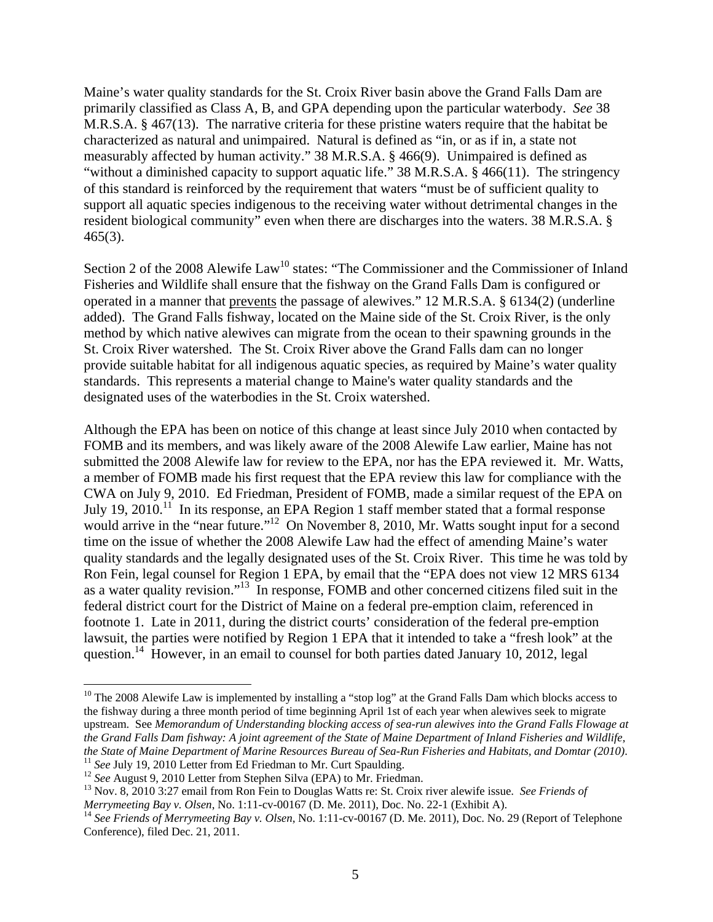Maine's water quality standards for the St. Croix River basin above the Grand Falls Dam are primarily classified as Class A, B, and GPA depending upon the particular waterbody. *See* 38 M.R.S.A. § 467(13). The narrative criteria for these pristine waters require that the habitat be characterized as natural and unimpaired. Natural is defined as "in, or as if in, a state not measurably affected by human activity." 38 M.R.S.A. § 466(9). Unimpaired is defined as "without a diminished capacity to support aquatic life." 38 M.R.S.A. § 466(11). The stringency of this standard is reinforced by the requirement that waters "must be of sufficient quality to support all aquatic species indigenous to the receiving water without detrimental changes in the resident biological community" even when there are discharges into the waters. 38 M.R.S.A. § 465(3).

Section 2 of the 2008 Alewife Law<sup>10</sup> states: "The Commissioner and the Commissioner of Inland Fisheries and Wildlife shall ensure that the fishway on the Grand Falls Dam is configured or operated in a manner that prevents the passage of alewives." 12 M.R.S.A. § 6134(2) (underline added). The Grand Falls fishway, located on the Maine side of the St. Croix River, is the only method by which native alewives can migrate from the ocean to their spawning grounds in the St. Croix River watershed. The St. Croix River above the Grand Falls dam can no longer provide suitable habitat for all indigenous aquatic species, as required by Maine's water quality standards. This represents a material change to Maine's water quality standards and the designated uses of the waterbodies in the St. Croix watershed.

Although the EPA has been on notice of this change at least since July 2010 when contacted by FOMB and its members, and was likely aware of the 2008 Alewife Law earlier, Maine has not submitted the 2008 Alewife law for review to the EPA, nor has the EPA reviewed it. Mr. Watts, a member of FOMB made his first request that the EPA review this law for compliance with the CWA on July 9, 2010. Ed Friedman, President of FOMB, made a similar request of the EPA on July 19, 2010.<sup>11</sup> In its response, an EPA Region 1 staff member stated that a formal response would arrive in the "near future."<sup>12</sup> On November 8, 2010, Mr. Watts sought input for a second time on the issue of whether the 2008 Alewife Law had the effect of amending Maine's water quality standards and the legally designated uses of the St. Croix River. This time he was told by Ron Fein, legal counsel for Region 1 EPA, by email that the "EPA does not view 12 MRS 6134 as a water quality revision."13 In response, FOMB and other concerned citizens filed suit in the federal district court for the District of Maine on a federal pre-emption claim, referenced in footnote 1. Late in 2011, during the district courts' consideration of the federal pre-emption lawsuit, the parties were notified by Region 1 EPA that it intended to take a "fresh look" at the question.<sup>14</sup> However, in an email to counsel for both parties dated January 10, 2012, legal

<u> 1989 - Johann Stein, marwolaethau a bh</u>

<sup>&</sup>lt;sup>10</sup> The 2008 Alewife Law is implemented by installing a "stop log" at the Grand Falls Dam which blocks access to the fishway during a three month period of time beginning April 1st of each year when alewives seek to migrate upstream. See *Memorandum of Understanding blocking access of sea-run alewives into the Grand Falls Flowage at the Grand Falls Dam fishway: A joint agreement of the State of Maine Department of Inland Fisheries and Wildlife,* 

the State of Maine Department of Marine Resources Bureau of Sea-Run Fisheries and Habitats, and Domtar (2010).<br><sup>11</sup> See July 19, 2010 Letter from Ed Friedman to Mr. Curt Spaulding.<br><sup>12</sup> See August 9, 2010 Letter from Steph

<sup>&</sup>lt;sup>14</sup> See Friends of Merrymeeting Bay v. Olsen, No. 1:11-cv-00167 (D. Me. 2011), Doc. No. 29 (Report of Telephone Conference), filed Dec. 21, 2011.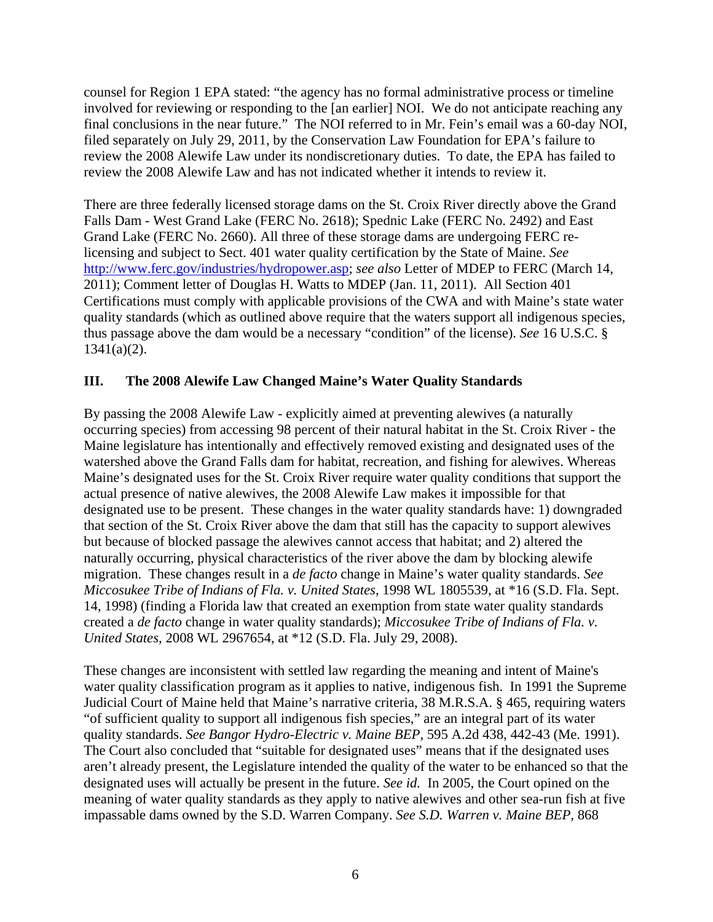counsel for Region 1 EPA stated: "the agency has no formal administrative process or timeline involved for reviewing or responding to the [an earlier] NOI. We do not anticipate reaching any final conclusions in the near future." The NOI referred to in Mr. Fein's email was a 60-day NOI, filed separately on July 29, 2011, by the Conservation Law Foundation for EPA's failure to review the 2008 Alewife Law under its nondiscretionary duties. To date, the EPA has failed to review the 2008 Alewife Law and has not indicated whether it intends to review it.

There are three federally licensed storage dams on the St. Croix River directly above the Grand Falls Dam - West Grand Lake (FERC No. 2618); Spednic Lake (FERC No. 2492) and East Grand Lake (FERC No. 2660). All three of these storage dams are undergoing FERC relicensing and subject to Sect. 401 water quality certification by the State of Maine. *See* http://www.ferc.gov/industries/hydropower.asp; *see also* Letter of MDEP to FERC (March 14, 2011); Comment letter of Douglas H. Watts to MDEP (Jan. 11, 2011). All Section 401 Certifications must comply with applicable provisions of the CWA and with Maine's state water quality standards (which as outlined above require that the waters support all indigenous species, thus passage above the dam would be a necessary "condition" of the license). *See* 16 U.S.C. § 1341(a)(2).

### **III. The 2008 Alewife Law Changed Maine's Water Quality Standards**

By passing the 2008 Alewife Law - explicitly aimed at preventing alewives (a naturally occurring species) from accessing 98 percent of their natural habitat in the St. Croix River - the Maine legislature has intentionally and effectively removed existing and designated uses of the watershed above the Grand Falls dam for habitat, recreation, and fishing for alewives. Whereas Maine's designated uses for the St. Croix River require water quality conditions that support the actual presence of native alewives, the 2008 Alewife Law makes it impossible for that designated use to be present. These changes in the water quality standards have: 1) downgraded that section of the St. Croix River above the dam that still has the capacity to support alewives but because of blocked passage the alewives cannot access that habitat; and 2) altered the naturally occurring, physical characteristics of the river above the dam by blocking alewife migration. These changes result in a *de facto* change in Maine's water quality standards. *See Miccosukee Tribe of Indians of Fla. v. United States*, 1998 WL 1805539, at \*16 (S.D. Fla. Sept. 14, 1998) (finding a Florida law that created an exemption from state water quality standards created a *de facto* change in water quality standards); *Miccosukee Tribe of Indians of Fla. v. United States*, 2008 WL 2967654, at \*12 (S.D. Fla. July 29, 2008).

These changes are inconsistent with settled law regarding the meaning and intent of Maine's water quality classification program as it applies to native, indigenous fish. In 1991 the Supreme Judicial Court of Maine held that Maine's narrative criteria, 38 M.R.S.A. § 465, requiring waters "of sufficient quality to support all indigenous fish species," are an integral part of its water quality standards. *See Bangor Hydro-Electric v. Maine BEP*, 595 A.2d 438, 442-43 (Me. 1991). The Court also concluded that "suitable for designated uses" means that if the designated uses aren't already present, the Legislature intended the quality of the water to be enhanced so that the designated uses will actually be present in the future. *See id.* In 2005, the Court opined on the meaning of water quality standards as they apply to native alewives and other sea-run fish at five impassable dams owned by the S.D. Warren Company. *See S.D. Warren v. Maine BEP*, 868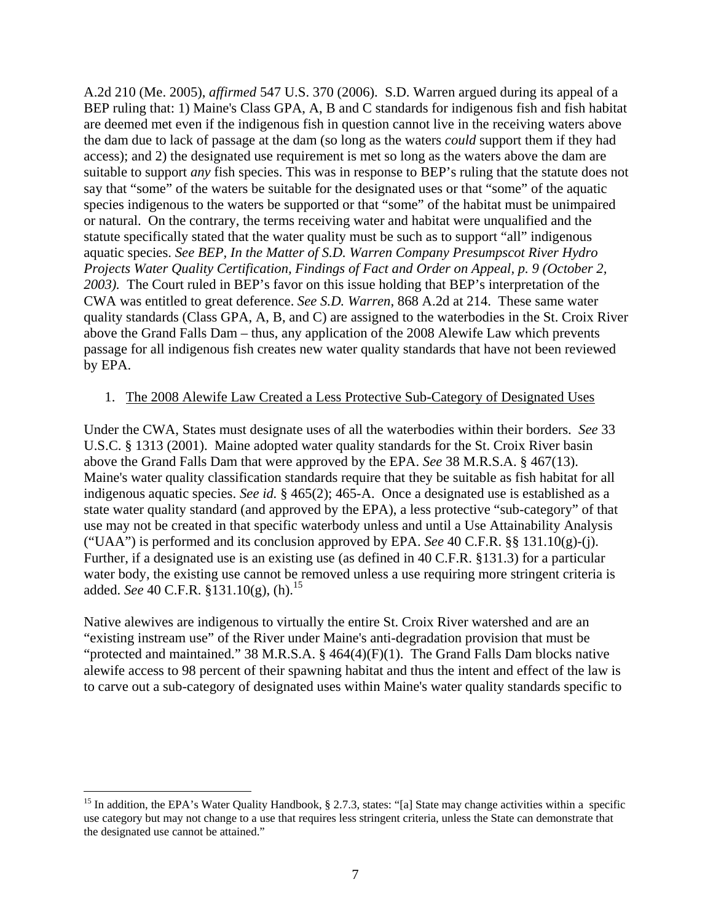A.2d 210 (Me. 2005), *affirmed* 547 U.S. 370 (2006). S.D. Warren argued during its appeal of a BEP ruling that: 1) Maine's Class GPA, A, B and C standards for indigenous fish and fish habitat are deemed met even if the indigenous fish in question cannot live in the receiving waters above the dam due to lack of passage at the dam (so long as the waters *could* support them if they had access); and 2) the designated use requirement is met so long as the waters above the dam are suitable to support *any* fish species. This was in response to BEP's ruling that the statute does not say that "some" of the waters be suitable for the designated uses or that "some" of the aquatic species indigenous to the waters be supported or that "some" of the habitat must be unimpaired or natural. On the contrary, the terms receiving water and habitat were unqualified and the statute specifically stated that the water quality must be such as to support "all" indigenous aquatic species. *See BEP, In the Matter of S.D. Warren Company Presumpscot River Hydro Projects Water Quality Certification, Findings of Fact and Order on Appeal, p. 9 (October 2, 2003).* The Court ruled in BEP's favor on this issue holding that BEP's interpretation of the CWA was entitled to great deference. *See S.D. Warren*, 868 A.2d at 214. These same water quality standards (Class GPA, A, B, and C) are assigned to the waterbodies in the St. Croix River above the Grand Falls Dam – thus, any application of the 2008 Alewife Law which prevents passage for all indigenous fish creates new water quality standards that have not been reviewed by EPA.

#### 1. The 2008 Alewife Law Created a Less Protective Sub-Category of Designated Uses

Under the CWA, States must designate uses of all the waterbodies within their borders. *See* 33 U.S.C. § 1313 (2001). Maine adopted water quality standards for the St. Croix River basin above the Grand Falls Dam that were approved by the EPA. *See* 38 M.R.S.A. § 467(13). Maine's water quality classification standards require that they be suitable as fish habitat for all indigenous aquatic species. *See id.* § 465(2); 465-A. Once a designated use is established as a state water quality standard (and approved by the EPA), a less protective "sub-category" of that use may not be created in that specific waterbody unless and until a Use Attainability Analysis ("UAA") is performed and its conclusion approved by EPA. *See* 40 C.F.R. §§ 131.10(g)-(j). Further, if a designated use is an existing use (as defined in 40 C.F.R. §131.3) for a particular water body, the existing use cannot be removed unless a use requiring more stringent criteria is added. *See* 40 C.F.R. §131.10(g), (h).<sup>15</sup>

Native alewives are indigenous to virtually the entire St. Croix River watershed and are an "existing instream use" of the River under Maine's anti-degradation provision that must be "protected and maintained." 38 M.R.S.A. § 464(4)(F)(1). The Grand Falls Dam blocks native alewife access to 98 percent of their spawning habitat and thus the intent and effect of the law is to carve out a sub-category of designated uses within Maine's water quality standards specific to

<u> 1989 - Johann Stein, marwolaethau a bh</u>

<sup>&</sup>lt;sup>15</sup> In addition, the EPA's Water Quality Handbook, § 2.7.3, states: "[a] State may change activities within a specific use category but may not change to a use that requires less stringent criteria, unless the State can demonstrate that the designated use cannot be attained."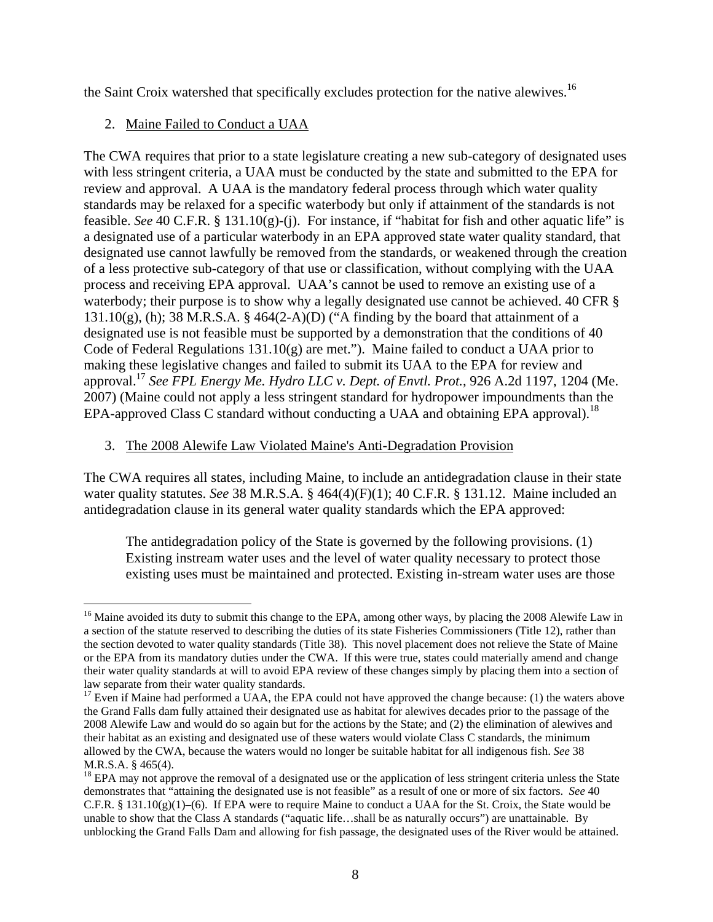the Saint Croix watershed that specifically excludes protection for the native alewives.<sup>16</sup>

# 2. Maine Failed to Conduct a UAA

The CWA requires that prior to a state legislature creating a new sub-category of designated uses with less stringent criteria, a UAA must be conducted by the state and submitted to the EPA for review and approval. A UAA is the mandatory federal process through which water quality standards may be relaxed for a specific waterbody but only if attainment of the standards is not feasible. *See* 40 C.F.R. § 131.10(g)-(j). For instance, if "habitat for fish and other aquatic life" is a designated use of a particular waterbody in an EPA approved state water quality standard, that designated use cannot lawfully be removed from the standards, or weakened through the creation of a less protective sub-category of that use or classification, without complying with the UAA process and receiving EPA approval. UAA's cannot be used to remove an existing use of a waterbody; their purpose is to show why a legally designated use cannot be achieved. 40 CFR §  $131.10(g)$ , (h); 38 M.R.S.A. § 464(2-A)(D) ("A finding by the board that attainment of a designated use is not feasible must be supported by a demonstration that the conditions of 40 Code of Federal Regulations 131.10(g) are met."). Maine failed to conduct a UAA prior to making these legislative changes and failed to submit its UAA to the EPA for review and approval.17 *See FPL Energy Me. Hydro LLC v. Dept. of Envtl. Prot.*, 926 A.2d 1197, 1204 (Me. 2007) (Maine could not apply a less stringent standard for hydropower impoundments than the EPA-approved Class C standard without conducting a UAA and obtaining EPA approval).<sup>18</sup>

# 3. The 2008 Alewife Law Violated Maine's Anti-Degradation Provision

The CWA requires all states, including Maine, to include an antidegradation clause in their state water quality statutes. *See* 38 M.R.S.A. § 464(4)(F)(1); 40 C.F.R. § 131.12. Maine included an antidegradation clause in its general water quality standards which the EPA approved:

The antidegradation policy of the State is governed by the following provisions. (1) Existing instream water uses and the level of water quality necessary to protect those existing uses must be maintained and protected. Existing in-stream water uses are those

<sup>&</sup>lt;u> 1989 - Johann Stein, marwolaethau a bh</u> <sup>16</sup> Maine avoided its duty to submit this change to the EPA, among other ways, by placing the 2008 Alewife Law in a section of the statute reserved to describing the duties of its state Fisheries Commissioners (Title 12), rather than the section devoted to water quality standards (Title 38). This novel placement does not relieve the State of Maine or the EPA from its mandatory duties under the CWA. If this were true, states could materially amend and change their water quality standards at will to avoid EPA review of these changes simply by placing them into a section of law separate from their water quality standards.

 $17$  Even if Maine had performed a UAA, the EPA could not have approved the change because: (1) the waters above the Grand Falls dam fully attained their designated use as habitat for alewives decades prior to the passage of the 2008 Alewife Law and would do so again but for the actions by the State; and (2) the elimination of alewives and their habitat as an existing and designated use of these waters would violate Class C standards, the minimum allowed by the CWA, because the waters would no longer be suitable habitat for all indigenous fish. *See* 38 M.R.S.A. § 465(4).

<sup>&</sup>lt;sup>18</sup> EPA may not approve the removal of a designated use or the application of less stringent criteria unless the State demonstrates that "attaining the designated use is not feasible" as a result of one or more of six factors. *See* 40 C.F.R. §  $131.10(g)(1)–(6)$ . If EPA were to require Maine to conduct a UAA for the St. Croix, the State would be unable to show that the Class A standards ("aquatic life…shall be as naturally occurs") are unattainable. By unblocking the Grand Falls Dam and allowing for fish passage, the designated uses of the River would be attained.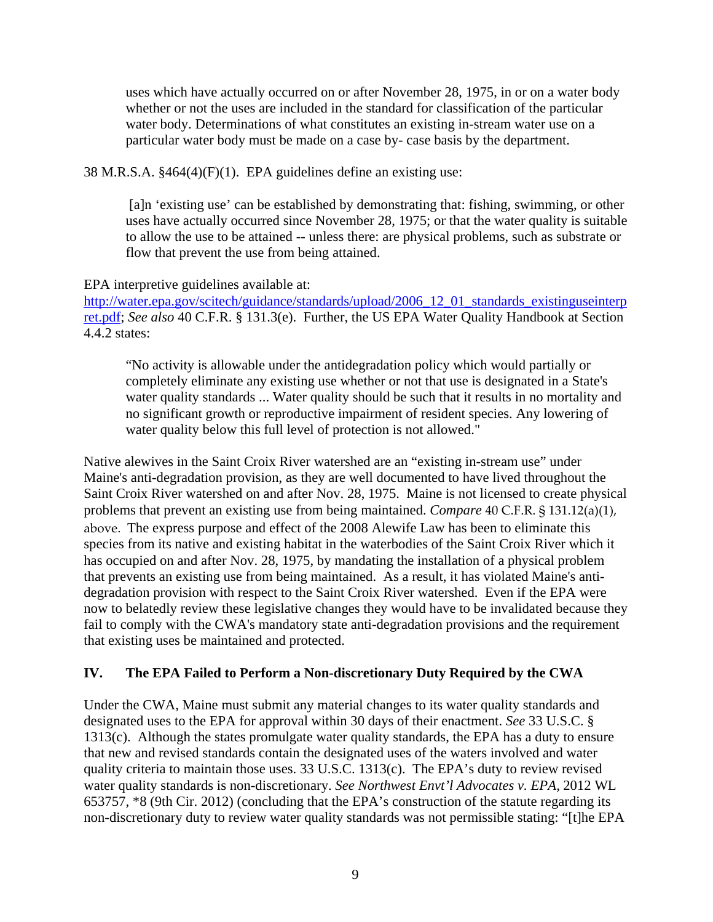uses which have actually occurred on or after November 28, 1975, in or on a water body whether or not the uses are included in the standard for classification of the particular water body. Determinations of what constitutes an existing in-stream water use on a particular water body must be made on a case by- case basis by the department.

38 M.R.S.A. §464(4)(F)(1). EPA guidelines define an existing use:

 [a]n 'existing use' can be established by demonstrating that: fishing, swimming, or other uses have actually occurred since November 28, 1975; or that the water quality is suitable to allow the use to be attained -- unless there: are physical problems, such as substrate or flow that prevent the use from being attained.

### EPA interpretive guidelines available at:

http://water.epa.gov/scitech/guidance/standards/upload/2006\_12\_01\_standards\_existinguseinterp ret.pdf; *See also* 40 C.F.R. § 131.3(e). Further, the US EPA Water Quality Handbook at Section 4.4.2 states:

"No activity is allowable under the antidegradation policy which would partially or completely eliminate any existing use whether or not that use is designated in a State's water quality standards ... Water quality should be such that it results in no mortality and no significant growth or reproductive impairment of resident species. Any lowering of water quality below this full level of protection is not allowed."

Native alewives in the Saint Croix River watershed are an "existing in-stream use" under Maine's anti-degradation provision, as they are well documented to have lived throughout the Saint Croix River watershed on and after Nov. 28, 1975. Maine is not licensed to create physical problems that prevent an existing use from being maintained. *Compare* 40 C.F.R. § 131.12(a)(1), above. The express purpose and effect of the 2008 Alewife Law has been to eliminate this species from its native and existing habitat in the waterbodies of the Saint Croix River which it has occupied on and after Nov. 28, 1975, by mandating the installation of a physical problem that prevents an existing use from being maintained. As a result, it has violated Maine's antidegradation provision with respect to the Saint Croix River watershed. Even if the EPA were now to belatedly review these legislative changes they would have to be invalidated because they fail to comply with the CWA's mandatory state anti-degradation provisions and the requirement that existing uses be maintained and protected.

# **IV. The EPA Failed to Perform a Non-discretionary Duty Required by the CWA**

Under the CWA, Maine must submit any material changes to its water quality standards and designated uses to the EPA for approval within 30 days of their enactment. *See* 33 U.S.C. § 1313(c). Although the states promulgate water quality standards, the EPA has a duty to ensure that new and revised standards contain the designated uses of the waters involved and water quality criteria to maintain those uses. 33 U.S.C. 1313(c). The EPA's duty to review revised water quality standards is non-discretionary. *See Northwest Envt'l Advocates v. EPA,* 2012 WL 653757, \*8 (9th Cir. 2012) (concluding that the EPA's construction of the statute regarding its non-discretionary duty to review water quality standards was not permissible stating: "[t]he EPA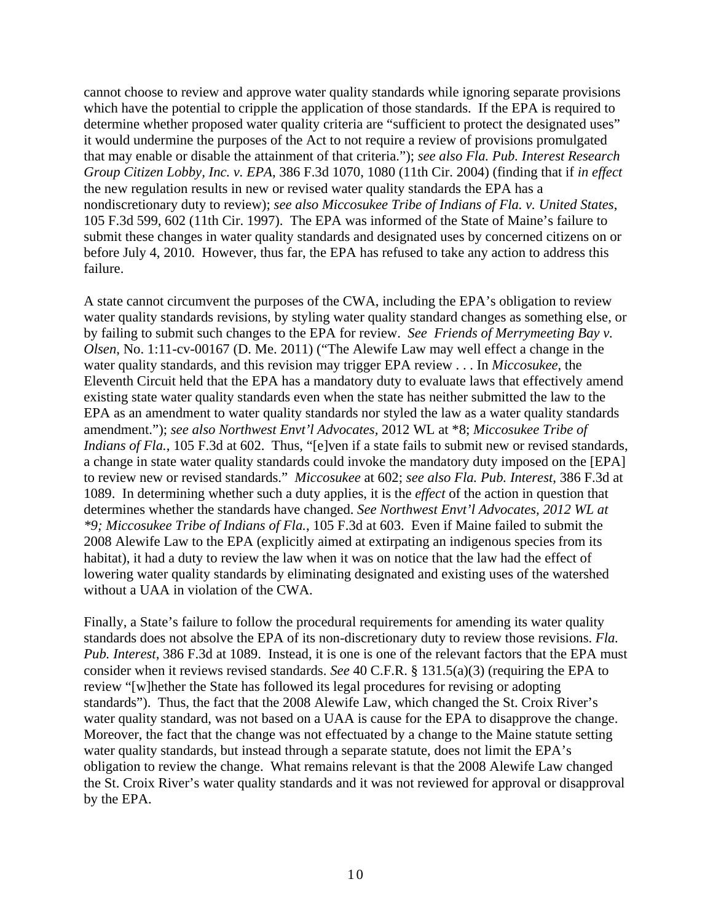cannot choose to review and approve water quality standards while ignoring separate provisions which have the potential to cripple the application of those standards. If the EPA is required to determine whether proposed water quality criteria are "sufficient to protect the designated uses" it would undermine the purposes of the Act to not require a review of provisions promulgated that may enable or disable the attainment of that criteria."); *see also Fla. Pub. Interest Research Group Citizen Lobby, Inc. v. EPA*, 386 F.3d 1070, 1080 (11th Cir. 2004) (finding that if *in effect* the new regulation results in new or revised water quality standards the EPA has a nondiscretionary duty to review); *see also Miccosukee Tribe of Indians of Fla. v. United States*, 105 F.3d 599, 602 (11th Cir. 1997). The EPA was informed of the State of Maine's failure to submit these changes in water quality standards and designated uses by concerned citizens on or before July 4, 2010. However, thus far, the EPA has refused to take any action to address this failure.

A state cannot circumvent the purposes of the CWA, including the EPA's obligation to review water quality standards revisions, by styling water quality standard changes as something else, or by failing to submit such changes to the EPA for review. *See Friends of Merrymeeting Bay v. Olsen*, No. 1:11-cv-00167 (D. Me. 2011) ("The Alewife Law may well effect a change in the water quality standards, and this revision may trigger EPA review . . . In *Miccosukee*, the Eleventh Circuit held that the EPA has a mandatory duty to evaluate laws that effectively amend existing state water quality standards even when the state has neither submitted the law to the EPA as an amendment to water quality standards nor styled the law as a water quality standards amendment."); *see also Northwest Envt'l Advocates,* 2012 WL at \*8; *Miccosukee Tribe of Indians of Fla.*, 105 F.3d at 602. Thus, "[e]ven if a state fails to submit new or revised standards, a change in state water quality standards could invoke the mandatory duty imposed on the [EPA] to review new or revised standards." *Miccosukee* at 602; *see also Fla. Pub. Interest*, 386 F.3d at 1089. In determining whether such a duty applies, it is the *effect* of the action in question that determines whether the standards have changed. *See Northwest Envt'l Advocates, 2012 WL at \*9; Miccosukee Tribe of Indians of Fla.*, 105 F.3d at 603. Even if Maine failed to submit the 2008 Alewife Law to the EPA (explicitly aimed at extirpating an indigenous species from its habitat), it had a duty to review the law when it was on notice that the law had the effect of lowering water quality standards by eliminating designated and existing uses of the watershed without a UAA in violation of the CWA.

Finally, a State's failure to follow the procedural requirements for amending its water quality standards does not absolve the EPA of its non-discretionary duty to review those revisions. *Fla. Pub. Interest*, 386 F.3d at 1089. Instead, it is one is one of the relevant factors that the EPA must consider when it reviews revised standards. *See* 40 C.F.R. § 131.5(a)(3) (requiring the EPA to review "[w]hether the State has followed its legal procedures for revising or adopting standards"). Thus, the fact that the 2008 Alewife Law, which changed the St. Croix River's water quality standard, was not based on a UAA is cause for the EPA to disapprove the change. Moreover, the fact that the change was not effectuated by a change to the Maine statute setting water quality standards, but instead through a separate statute, does not limit the EPA's obligation to review the change. What remains relevant is that the 2008 Alewife Law changed the St. Croix River's water quality standards and it was not reviewed for approval or disapproval by the EPA.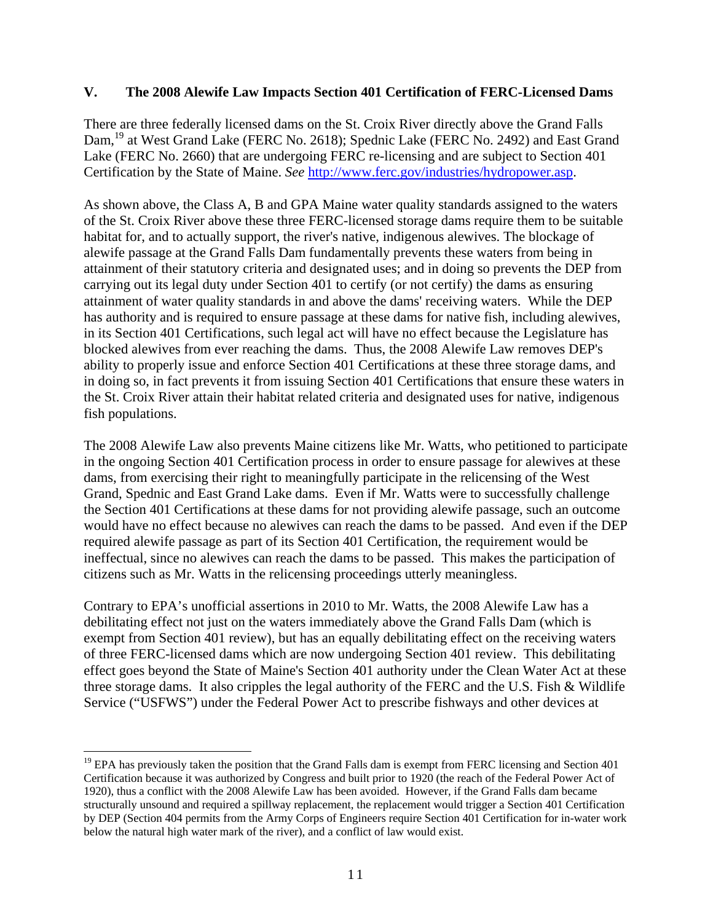#### **V. The 2008 Alewife Law Impacts Section 401 Certification of FERC-Licensed Dams**

There are three federally licensed dams on the St. Croix River directly above the Grand Falls Dam,<sup>19</sup> at West Grand Lake (FERC No. 2618); Spednic Lake (FERC No. 2492) and East Grand Lake (FERC No. 2660) that are undergoing FERC re-licensing and are subject to Section 401 Certification by the State of Maine. *See* http://www.ferc.gov/industries/hydropower.asp.

As shown above, the Class A, B and GPA Maine water quality standards assigned to the waters of the St. Croix River above these three FERC-licensed storage dams require them to be suitable habitat for, and to actually support, the river's native, indigenous alewives. The blockage of alewife passage at the Grand Falls Dam fundamentally prevents these waters from being in attainment of their statutory criteria and designated uses; and in doing so prevents the DEP from carrying out its legal duty under Section 401 to certify (or not certify) the dams as ensuring attainment of water quality standards in and above the dams' receiving waters. While the DEP has authority and is required to ensure passage at these dams for native fish, including alewives, in its Section 401 Certifications, such legal act will have no effect because the Legislature has blocked alewives from ever reaching the dams. Thus, the 2008 Alewife Law removes DEP's ability to properly issue and enforce Section 401 Certifications at these three storage dams, and in doing so, in fact prevents it from issuing Section 401 Certifications that ensure these waters in the St. Croix River attain their habitat related criteria and designated uses for native, indigenous fish populations.

The 2008 Alewife Law also prevents Maine citizens like Mr. Watts, who petitioned to participate in the ongoing Section 401 Certification process in order to ensure passage for alewives at these dams, from exercising their right to meaningfully participate in the relicensing of the West Grand, Spednic and East Grand Lake dams. Even if Mr. Watts were to successfully challenge the Section 401 Certifications at these dams for not providing alewife passage, such an outcome would have no effect because no alewives can reach the dams to be passed. And even if the DEP required alewife passage as part of its Section 401 Certification, the requirement would be ineffectual, since no alewives can reach the dams to be passed. This makes the participation of citizens such as Mr. Watts in the relicensing proceedings utterly meaningless.

Contrary to EPA's unofficial assertions in 2010 to Mr. Watts, the 2008 Alewife Law has a debilitating effect not just on the waters immediately above the Grand Falls Dam (which is exempt from Section 401 review), but has an equally debilitating effect on the receiving waters of three FERC-licensed dams which are now undergoing Section 401 review. This debilitating effect goes beyond the State of Maine's Section 401 authority under the Clean Water Act at these three storage dams. It also cripples the legal authority of the FERC and the U.S. Fish & Wildlife Service ("USFWS") under the Federal Power Act to prescribe fishways and other devices at

<u> 1989 - Johann Stein, marwolaethau a bh</u>

 $19$  EPA has previously taken the position that the Grand Falls dam is exempt from FERC licensing and Section 401 Certification because it was authorized by Congress and built prior to 1920 (the reach of the Federal Power Act of 1920), thus a conflict with the 2008 Alewife Law has been avoided. However, if the Grand Falls dam became structurally unsound and required a spillway replacement, the replacement would trigger a Section 401 Certification by DEP (Section 404 permits from the Army Corps of Engineers require Section 401 Certification for in-water work below the natural high water mark of the river), and a conflict of law would exist.